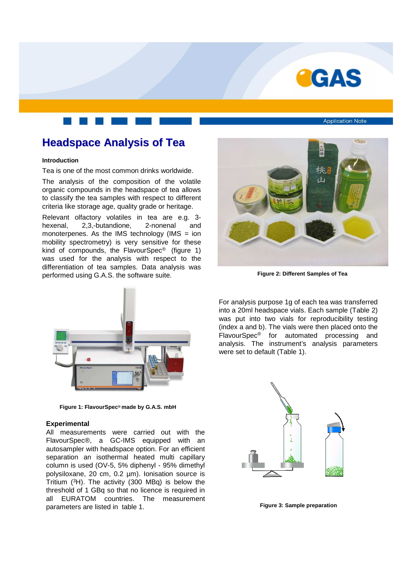

**Application Note** 

# **Headspace Analysis of Tea**

#### **Introduction**

Tea is one of the most common drinks worldwide.

The analysis of the composition of the volatile organic compounds in the headspace of tea allows to classify the tea samples with respect to different criteria like storage age, quality grade or heritage.

Relevant olfactory volatiles in tea are e.g. 3 hexenal, 2,3,-butandione, 2-nonenal and monoterpenes. As the IMS technology (IMS  $=$  ion mobility spectrometry) is very sensitive for these kind of compounds, the FlavourSpec® (figure 1) was used for the analysis with respect to the differentiation of tea samples. Data analysis was performed using G.A.S. the software suite.



**Figure 2: Different Samples of Tea**



**Figure 1: FlavourSpec® made by G.A.S. mbH**

#### **Experimental**

All measurements were carried out with the FlavourSpec®, a GC-IMS equipped with an autosampler with headspace option. For an efficient separation an isothermal heated multi capillary column is used (OV-5, 5% diphenyl - 95% dimethyl polysiloxane, 20 cm, 0.2 µm). Ionisation source is Tritium (<sup>3</sup>H). The activity (300 MBq) is below the threshold of 1 GBq so that no licence is required in all EURATOM countries. The measurement parameters are listed in table 1.

For analysis purpose 1g of each tea was transferred into a 20ml headspace vials. Each sample (Table 2) was put into two vials for reproducibility testing (index a and b). The vials were then placed onto the FlavourSpec® for automated processing and analysis. The instrument's analysis parameters were set to default (Table 1).



**Figure 3: Sample preparation**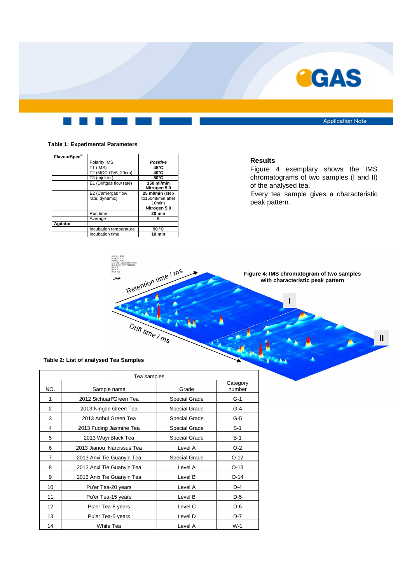

**Application Note** 

## **Table 1: Experimental Parameters**

| FlavourSpec <sup>®</sup> |                         |                   |  |
|--------------------------|-------------------------|-------------------|--|
|                          | Polarity IMS            | Positive          |  |
|                          | T1 (IMS)                | $45^{\circ}$ C    |  |
|                          | T2 (MCC-OV5, 20cm)      | $40^{\circ}$ C    |  |
|                          | T3 (Injektor)           | $80^{\circ}$ C    |  |
|                          | E1 (Driftgas flow rate) | 150 ml/min        |  |
|                          |                         | Nitrogen 5.0      |  |
|                          | E2 (Carriergas flow     | 25 ml/min (step   |  |
|                          | rate, dynamic)          | to150ml/min after |  |
|                          |                         | 10min)            |  |
|                          |                         | Nitrogen 5.0      |  |
|                          | Run time                | 20 min            |  |
|                          | Average                 | 6                 |  |
| Agitator                 |                         |                   |  |
|                          | Incubation temperature  | 90 °C             |  |
|                          | Incubation time         | 10 min            |  |

## **Results**

Figure 4 exemplary shows the IMS chromatograms of two samples (I and II) of the analysed tea.

Every tea sample gives a characteristic peak pattern.

**Figure 4: IMS chromatogram of two samples with characteristic peak pattern**

**II**

**I**

### **Table 2: List of analysed Tea Samples**

| Tea samples    |                           |                      |                    |  |
|----------------|---------------------------|----------------------|--------------------|--|
| NO.            | Sample name               | Grade                | Category<br>number |  |
| 1              | 2012 Sichuan Green Tea    | Special Grade        | $G-1$              |  |
| $\overline{2}$ | 2013 Ningde Green Tea     | Special Grade        | $G-4$              |  |
| 3              | 2013 Anhui Green Tea      | Special Grade        | $G-5$              |  |
| 4              | 2013 Fuding Jasmine Tea   | Special Grade        | $S-1$              |  |
| 5              | 2013 Wuyi Black Tea       | <b>Special Grade</b> | $B-1$              |  |
| 6              | 2013 Jianou Narcissus Tea | Level A              | $O-2$              |  |
| $\overline{7}$ | 2013 Anxi Tie Guanyin Tea | Special Grade        | $O-12$             |  |
| 8              | 2013 Anxi Tie Guanyin Tea | Level A              | $O-13$             |  |
| 9              | 2013 Anxi Tie Guanyin Tea | Level B              | $O-14$             |  |
| 10             | Pu'er Tea-20 years        | Level A              | $D-4$              |  |
| 11             | Pu'er Tea-15 years        | Level B              | $D-5$              |  |
| 12             | Pu'er Tea-8 years         | Level C              | $D-6$              |  |
| 13             | Pu'er Tea-5 years         | Level D              | $D-7$              |  |
| 14             | White Tea                 | Level A              | $W-1$              |  |

Drift time / ms

Retention time / ms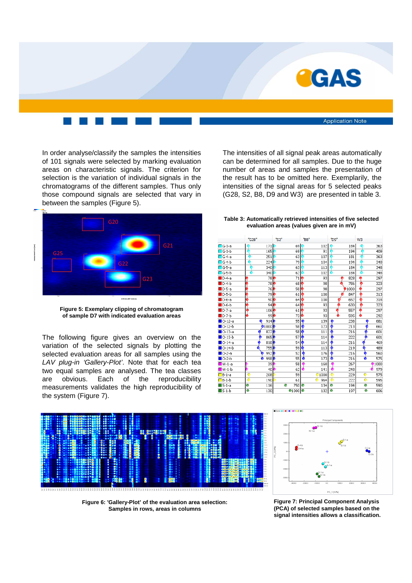

In order analyse/classify the samples the intensities of 101 signals were selected by marking evaluation areas on characteristic signals. The criterion for selection is the variation of individual signals in the chromatograms of the different samples. Thus only those compound signals are selected that vary in between the samples (Figure 5).



**Figure 5: Exemplary clipping of chromatogram of sample D7 with indicated evaluation areas**

The following figure gives an overview on the variation of the selected signals by plotting the selected evaluation areas for all samples using the LAV plug-in 'Gallery-Plot'. Note that for each tea two equal samples are analysed. The tea classes are obvious. Each of the reproducibility measurements validates the high reproducibility of the system (Figure 7).

The intensities of all signal peak areas automatically can be determined for all samples. Due to the huge number of areas and samples the presentation of the result has to be omitted here. Exemplarily, the intensities of the signal areas for 5 selected peaks (G28, S2, B8, D9 and W3) are presented in table 3.









**Figure 6: 'Gallery-Plot' of the evaluation area selection: Samples in rows, areas in columns**

**Figure 7: Principal Component Analysis (PCA) of selected samples based on the signal intensities allows a classification.**